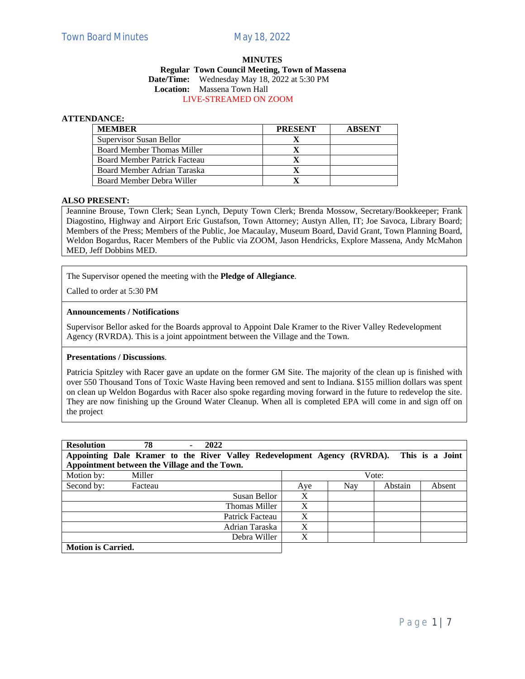## **MINUTES**

# **Regular Town Council Meeting, Town of Massena Date/Time:** Wednesday May 18, 2022 at 5:30 PM **Location:** Massena Town Hall

## LIVE-STREAMED ON ZOOM

# **ATTENDANCE:**

| <b>MEMBER</b>                | <b>PRESENT</b> | <b>ABSENT</b> |
|------------------------------|----------------|---------------|
| Supervisor Susan Bellor      |                |               |
| Board Member Thomas Miller   |                |               |
| Board Member Patrick Facteau |                |               |
| Board Member Adrian Taraska  |                |               |
| Board Member Debra Willer    |                |               |

## **ALSO PRESENT:**

Jeannine Brouse, Town Clerk; Sean Lynch, Deputy Town Clerk; Brenda Mossow, Secretary/Bookkeeper; Frank Diagostino, Highway and Airport Eric Gustafson, Town Attorney; Austyn Allen, IT; Joe Savoca, Library Board; Members of the Press; Members of the Public, Joe Macaulay, Museum Board, David Grant, Town Planning Board, Weldon Bogardus, Racer Members of the Public via ZOOM, Jason Hendricks, Explore Massena, Andy McMahon MED, Jeff Dobbins MED.

The Supervisor opened the meeting with the **Pledge of Allegiance**.

Called to order at 5:30 PM

#### **Announcements / Notifications**

Supervisor Bellor asked for the Boards approval to Appoint Dale Kramer to the River Valley Redevelopment Agency (RVRDA). This is a joint appointment between the Village and the Town.

## **Presentations / Discussions**.

Patricia Spitzley with Racer gave an update on the former GM Site. The majority of the clean up is finished with over 550 Thousand Tons of Toxic Waste Having been removed and sent to Indiana. \$155 million dollars was spent on clean up Weldon Bogardus with Racer also spoke regarding moving forward in the future to redevelop the site. They are now finishing up the Ground Water Cleanup. When all is completed EPA will come in and sign off on the project

| <b>Resolution</b>         | 78                                                                       | ٠ | 2022 |                 |               |     |       |         |                 |
|---------------------------|--------------------------------------------------------------------------|---|------|-----------------|---------------|-----|-------|---------|-----------------|
|                           | Appointing Dale Kramer to the River Valley Redevelopment Agency (RVRDA). |   |      |                 |               |     |       |         | This is a Joint |
|                           | Appointment between the Village and the Town.                            |   |      |                 |               |     |       |         |                 |
| Motion by:                | Miller                                                                   |   |      |                 |               |     | Vote: |         |                 |
| Second by:                | Facteau                                                                  |   |      |                 |               | Aye | Nay   | Abstain | Absent          |
|                           |                                                                          |   |      |                 | Susan Bellor  | X   |       |         |                 |
|                           |                                                                          |   |      |                 | Thomas Miller | X   |       |         |                 |
|                           |                                                                          |   |      | Patrick Facteau |               | X   |       |         |                 |
|                           |                                                                          |   |      | Adrian Taraska  |               | X   |       |         |                 |
|                           |                                                                          |   |      |                 | Debra Willer  | X   |       |         |                 |
| <b>Motion is Carried.</b> |                                                                          |   |      |                 |               |     |       |         |                 |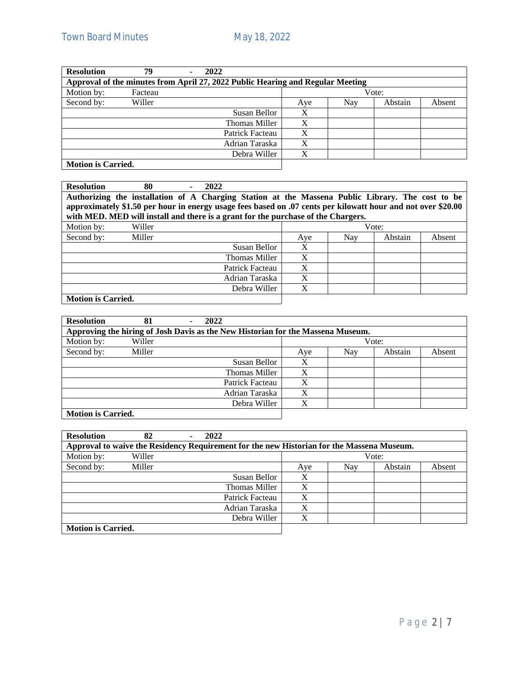| <b>Resolution</b>         | 79      | 2022<br>٠                                                                      |                 |       |     |         |        |  |
|---------------------------|---------|--------------------------------------------------------------------------------|-----------------|-------|-----|---------|--------|--|
|                           |         | Approval of the minutes from April 27, 2022 Public Hearing and Regular Meeting |                 |       |     |         |        |  |
| Motion by:                | Facteau |                                                                                |                 | Vote: |     |         |        |  |
| Second by:                | Willer  |                                                                                |                 | Aye   | Nay | Abstain | Absent |  |
|                           |         |                                                                                | Susan Bellor    |       |     |         |        |  |
|                           |         |                                                                                | Thomas Miller   | X     |     |         |        |  |
|                           |         |                                                                                | Patrick Facteau | X     |     |         |        |  |
|                           |         |                                                                                | Adrian Taraska  | X     |     |         |        |  |
|                           |         |                                                                                | Debra Willer    | X     |     |         |        |  |
| <b>Motion is Carried.</b> |         |                                                                                |                 |       |     |         |        |  |

| <b>Resolution</b>         | 80             |   | 2022                                                                                                         |       |     |         |        |  |
|---------------------------|----------------|---|--------------------------------------------------------------------------------------------------------------|-------|-----|---------|--------|--|
|                           |                |   | Authorizing the installation of A Charging Station at the Massena Public Library. The cost to be             |       |     |         |        |  |
|                           |                |   | approximately \$1.50 per hour in energy usage fees based on .07 cents per kilowatt hour and not over \$20.00 |       |     |         |        |  |
|                           |                |   | with MED. MED will install and there is a grant for the purchase of the Chargers.                            |       |     |         |        |  |
| Motion by:                | Willer         |   |                                                                                                              | Vote: |     |         |        |  |
| Second by:                | Miller         |   |                                                                                                              | Aye   | Nay | Abstain | Absent |  |
|                           |                |   | Susan Bellor                                                                                                 | X     |     |         |        |  |
|                           |                |   | Thomas Miller                                                                                                | X     |     |         |        |  |
|                           |                |   | Patrick Facteau                                                                                              | X     |     |         |        |  |
|                           | Adrian Taraska | X |                                                                                                              |       |     |         |        |  |
|                           |                |   | Debra Willer                                                                                                 | X     |     |         |        |  |
| <b>Motion is Carried.</b> |                |   |                                                                                                              |       |     |         |        |  |

| <b>Resolution</b>         | 81     | 2022 |                                                                                 |       |     |         |        |  |
|---------------------------|--------|------|---------------------------------------------------------------------------------|-------|-----|---------|--------|--|
|                           |        |      | Approving the hiring of Josh Davis as the New Historian for the Massena Museum. |       |     |         |        |  |
| Motion by:                | Willer |      |                                                                                 | Vote: |     |         |        |  |
| Second by:                | Miller |      |                                                                                 | Aye   | Nay | Abstain | Absent |  |
|                           |        |      | Susan Bellor                                                                    | X     |     |         |        |  |
|                           |        |      | Thomas Miller                                                                   | X     |     |         |        |  |
|                           |        |      | Patrick Facteau                                                                 | X     |     |         |        |  |
|                           |        |      | Adrian Taraska                                                                  | X     |     |         |        |  |
|                           |        |      | Debra Willer                                                                    | X     |     |         |        |  |
| <b>Motion is Carried.</b> |        |      |                                                                                 |       |     |         |        |  |

| <b>Resolution</b>         | 82     | ٠ | 2022                                                                                      |       |            |         |        |  |
|---------------------------|--------|---|-------------------------------------------------------------------------------------------|-------|------------|---------|--------|--|
|                           |        |   | Approval to waive the Residency Requirement for the new Historian for the Massena Museum. |       |            |         |        |  |
| Motion by:                | Willer |   |                                                                                           | Vote: |            |         |        |  |
| Second by:                | Miller |   |                                                                                           | Aye   | <b>Nav</b> | Abstain | Absent |  |
|                           |        |   | Susan Bellor                                                                              | X     |            |         |        |  |
|                           |        |   | Thomas Miller                                                                             | X     |            |         |        |  |
|                           |        |   | Patrick Facteau                                                                           | X     |            |         |        |  |
|                           |        |   | Adrian Taraska                                                                            | X     |            |         |        |  |
|                           |        |   | Debra Willer                                                                              | X     |            |         |        |  |
| <b>Motion is Carried.</b> |        |   |                                                                                           |       |            |         |        |  |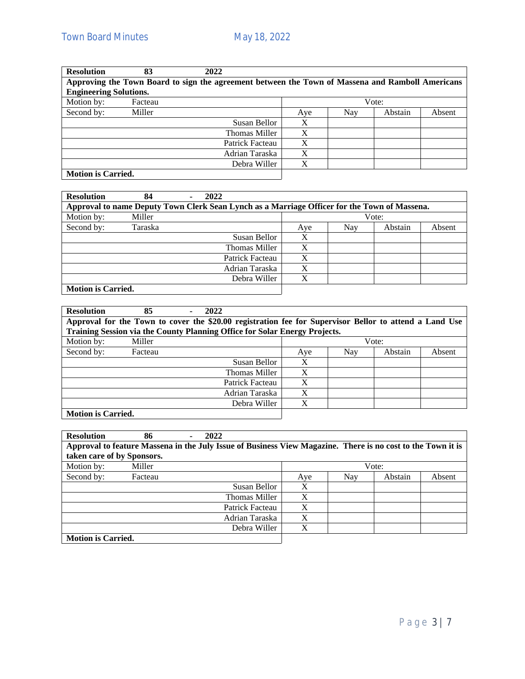| <b>Resolution</b>             | 83      | 2022                                                                                             |       |     |         |        |  |
|-------------------------------|---------|--------------------------------------------------------------------------------------------------|-------|-----|---------|--------|--|
|                               |         | Approving the Town Board to sign the agreement between the Town of Massena and Ramboll Americans |       |     |         |        |  |
| <b>Engineering Solutions.</b> |         |                                                                                                  |       |     |         |        |  |
| Motion by:                    | Facteau |                                                                                                  | Vote: |     |         |        |  |
| Second by:                    | Miller  |                                                                                                  | Aye   | Nay | Abstain | Absent |  |
|                               |         | Susan Bellor                                                                                     | X     |     |         |        |  |
|                               |         | Thomas Miller                                                                                    | X     |     |         |        |  |
|                               |         | Patrick Facteau                                                                                  | X     |     |         |        |  |
|                               |         | Adrian Taraska                                                                                   | X     |     |         |        |  |
|                               |         | Debra Willer                                                                                     | X     |     |         |        |  |
| <b>Motion is Carried.</b>     |         |                                                                                                  |       |     |         |        |  |

| <b>Resolution</b>             | 84      | 2022 |                                                                                              |     |     |         |        |
|-------------------------------|---------|------|----------------------------------------------------------------------------------------------|-----|-----|---------|--------|
|                               |         |      | Approval to name Deputy Town Clerk Sean Lynch as a Marriage Officer for the Town of Massena. |     |     |         |        |
| Motion by:<br>Miller<br>Vote: |         |      |                                                                                              |     |     |         |        |
| Second by:                    | Taraska |      |                                                                                              | Aye | Nay | Abstain | Absent |
|                               |         |      | Susan Bellor                                                                                 | X   |     |         |        |
|                               |         |      | Thomas Miller                                                                                | X   |     |         |        |
|                               |         |      | Patrick Facteau                                                                              | X   |     |         |        |
|                               |         |      | Adrian Taraska                                                                               | X   |     |         |        |
|                               |         |      | Debra Willer                                                                                 |     |     |         |        |
| <b>Motion is Carried.</b>     |         |      |                                                                                              |     |     |         |        |

| <b>Resolution</b>         | 85      | 2022                                                                                                   |     |     |         |        |
|---------------------------|---------|--------------------------------------------------------------------------------------------------------|-----|-----|---------|--------|
|                           |         | Approval for the Town to cover the \$20.00 registration fee for Supervisor Bellor to attend a Land Use |     |     |         |        |
|                           |         | Training Session via the County Planning Office for Solar Energy Projects.                             |     |     |         |        |
| Motion by:                | Miller  |                                                                                                        |     |     | Vote:   |        |
| Second by:                | Facteau |                                                                                                        | Aye | Nay | Abstain | Absent |
|                           |         | Susan Bellor                                                                                           | X   |     |         |        |
|                           |         | Thomas Miller                                                                                          | X   |     |         |        |
|                           |         | Patrick Facteau                                                                                        | X   |     |         |        |
|                           |         | Adrian Taraska                                                                                         | X   |     |         |        |
|                           |         | Debra Willer                                                                                           |     |     |         |        |
| <b>Motion is Carried.</b> |         |                                                                                                        |     |     |         |        |

| <b>Resolution</b>          | 86      | 2022<br>$\blacksquare$ |                                                                                                             |     |     |         |        |
|----------------------------|---------|------------------------|-------------------------------------------------------------------------------------------------------------|-----|-----|---------|--------|
|                            |         |                        | Approval to feature Massena in the July Issue of Business View Magazine. There is no cost to the Town it is |     |     |         |        |
| taken care of by Sponsors. |         |                        |                                                                                                             |     |     |         |        |
| Motion by:                 | Miller  |                        |                                                                                                             |     |     | Vote:   |        |
| Second by:                 | Facteau |                        |                                                                                                             | Aye | Nay | Abstain | Absent |
|                            |         |                        | Susan Bellor                                                                                                | X   |     |         |        |
|                            |         |                        | Thomas Miller                                                                                               | X   |     |         |        |
|                            |         |                        | Patrick Facteau                                                                                             | X   |     |         |        |
|                            |         |                        | Adrian Taraska                                                                                              | X   |     |         |        |
|                            |         |                        | Debra Willer                                                                                                | X   |     |         |        |
| <b>Motion is Carried.</b>  |         |                        |                                                                                                             |     |     |         |        |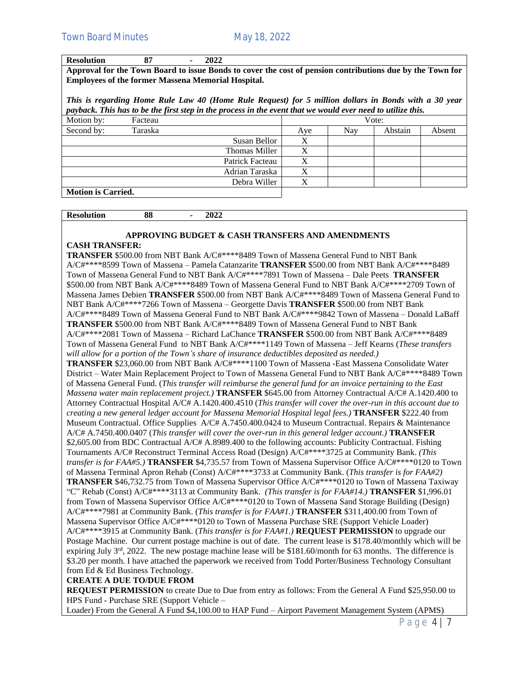| <b>Resolution</b>                                         |  | 2022 |                                                                                                           |
|-----------------------------------------------------------|--|------|-----------------------------------------------------------------------------------------------------------|
|                                                           |  |      | Approval for the Town Board to issue Bonds to cover the cost of pension contributions due by the Town for |
| <b>Employees of the former Massena Memorial Hospital.</b> |  |      |                                                                                                           |

This is regarding Home Rule Law 40 (Home Rule Request) for 5 million dollars in Bonds with a 30 year *payback. This has to be the first step in the process in the event that we would ever need to utilize this.*

| Motion by: | Facteau |                 | Vote: |     |         |        |  |  |
|------------|---------|-----------------|-------|-----|---------|--------|--|--|
| Second by: | Taraska |                 | Aye   | Nay | Abstain | Absent |  |  |
|            |         | Susan Bellor    |       |     |         |        |  |  |
|            |         | Thomas Miller   |       |     |         |        |  |  |
|            |         | Patrick Facteau |       |     |         |        |  |  |
|            |         | Adrian Taraska  |       |     |         |        |  |  |
|            |         | Debra Willer    |       |     |         |        |  |  |
|            |         |                 |       |     |         |        |  |  |

**Motion is Carried.**

**Resolution 88 - 2022**

#### **APPROVING BUDGET & CASH TRANSFERS AND AMENDMENTS**

#### **CASH TRANSFER:**

**TRANSFER** \$500.00 from NBT Bank A/C#\*\*\*\*8489 Town of Massena General Fund to NBT Bank A/C#\*\*\*\*8599 Town of Massena – Pamela Catanzarite **TRANSFER** \$500.00 from NBT Bank A/C#\*\*\*\*8489 Town of Massena General Fund to NBT Bank A/C#\*\*\*\*7891 Town of Massena – Dale Peets **TRANSFER** \$500.00 from NBT Bank A/C#\*\*\*\*8489 Town of Massena General Fund to NBT Bank A/C#\*\*\*\*2709 Town of Massena James Debien **TRANSFER** \$500.00 from NBT Bank A/C#\*\*\*\*8489 Town of Massena General Fund to NBT Bank A/C#\*\*\*\*7266 Town of Massena – Georgette Davis **TRANSFER** \$500.00 from NBT Bank A/C#\*\*\*\*8489 Town of Massena General Fund to NBT Bank A/C#\*\*\*\*9842 Town of Massena – Donald LaBaff **TRANSFER** \$500.00 from NBT Bank A/C#\*\*\*\*8489 Town of Massena General Fund to NBT Bank A/C#\*\*\*\*2081 Town of Massena – Richard LaChance **TRANSFER** \$500.00 from NBT Bank A/C#\*\*\*\*8489 Town of Massena General Fund to NBT Bank A/C#\*\*\*\*1149 Town of Massena – Jeff Kearns (*These transfers will allow for a portion of the Town's share of insurance deductibles deposited as needed.)* **TRANSFER** \$23,060.00 from NBT Bank A/C#\*\*\*\*1100 Town of Massena -East Massena Consolidate Water District – Water Main Replacement Project to Town of Massena General Fund to NBT Bank A/C#\*\*\*\*8489 Town of Massena General Fund. (*This transfer will reimburse the general fund for an invoice pertaining to the East Massena water main replacement project.)* **TRANSFER** \$645.00 from Attorney Contractual A/C# A.1420.400 to Attorney Contractual Hospital A/C# A.1420.400.4510 (*This transfer will cover the over-run in this account due to creating a new general ledger account for Massena Memorial Hospital legal fees.)* **TRANSFER** \$222.40 from Museum Contractual. Office Supplies A/C# A.7450.400.0424 to Museum Contractual. Repairs & Maintenance A/C# A.7450.400.0407 (*This transfer will cover the over-run in this general ledger account.)* **TRANSFER** \$2,605.00 from BDC Contractual A/C# A.8989.400 to the following accounts: Publicity Contractual. Fishing Tournaments A/C# Reconstruct Terminal Access Road (Design) A/C#\*\*\*\*3725 at Community Bank. *(This transfer is for FAA#5.)* **TRANSFER** \$4,735.57 from Town of Massena Supervisor Office A/C#\*\*\*\*0120 to Town of Massena Terminal Apron Rehab (Const) A/C#\*\*\*\*3733 at Community Bank. (*This transfer is for FAA#2)*  **TRANSFER** \$46,732.75 from Town of Massena Supervisor Office A/C#\*\*\*\*0120 to Town of Massena Taxiway "C" Rehab (Const) A/C#\*\*\*\*3113 at Community Bank. *(This transfer is for FAA#14.)* **TRANSFER** \$1,996.01 from Town of Massena Supervisor Office A/C#\*\*\*\*0120 to Town of Massena Sand Storage Building (Design) A/C#\*\*\*\*7981 at Community Bank. (*This transfer is for FAA#1.)* **TRANSFER** \$311,400.00 from Town of Massena Supervisor Office A/C#\*\*\*\*0120 to Town of Massena Purchase SRE (Support Vehicle Loader) A/C#\*\*\*\*3915 at Community Bank. (*This transfer is for FAA#1.)* **REQUEST PERMISSION** to upgrade our Postage Machine. Our current postage machine is out of date. The current lease is \$178.40/monthly which will be expiring July 3rd, 2022. The new postage machine lease will be \$181.60/month for 63 months. The difference is \$3.20 per month. I have attached the paperwork we received from Todd Porter/Business Technology Consultant from Ed & Ed Business Technology.

# **CREATE A DUE TO/DUE FROM**

**REQUEST PERMISSION** to create Due to Due from entry as follows: From the General A Fund \$25,950.00 to HPS Fund - Purchase SRE (Support Vehicle –

Loader) From the General A Fund \$4,100.00 to HAP Fund – Airport Pavement Management System (APMS)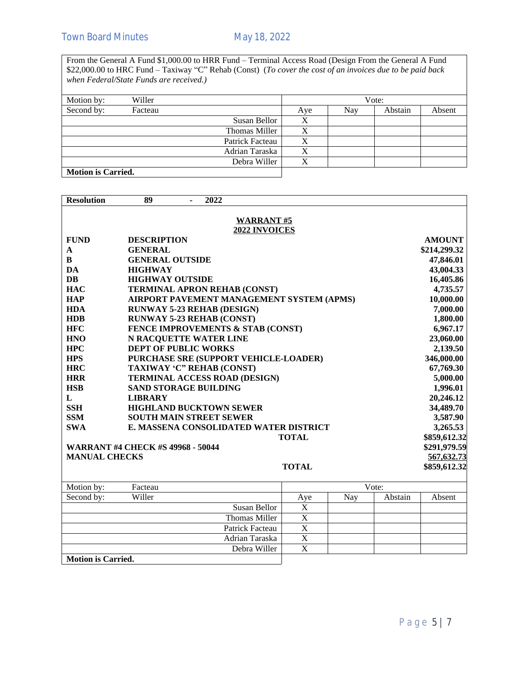From the General A Fund \$1,000.00 to HRR Fund – Terminal Access Road (Design From the General A Fund \$22,000.00 to HRC Fund – Taxiway "C" Rehab (Const) (*To cover the cost of an invoices due to be paid back when Federal/State Funds are received.)*

| Motion by:                | Willer  |                 | Vote:     |     |         |        |
|---------------------------|---------|-----------------|-----------|-----|---------|--------|
| Second by:                | Facteau |                 | Aye       | Nay | Abstain | Absent |
|                           |         | Susan Bellor    | Χ         |     |         |        |
|                           |         | Thomas Miller   | Х         |     |         |        |
|                           |         | Patrick Facteau | $\Lambda$ |     |         |        |
|                           |         | Adrian Taraska  | X         |     |         |        |
|                           |         | Debra Willer    | v         |     |         |        |
| <b>Motion is Carried.</b> |         |                 |           |     |         |        |

| <b>Resolution</b>                                                | 89                                                     |  | 2022                 |                         |       |         |               |  |  |  |  |
|------------------------------------------------------------------|--------------------------------------------------------|--|----------------------|-------------------------|-------|---------|---------------|--|--|--|--|
|                                                                  |                                                        |  |                      |                         |       |         |               |  |  |  |  |
| <b>WARRANT#5</b><br>2022 INVOICES                                |                                                        |  |                      |                         |       |         |               |  |  |  |  |
| <b>FUND</b>                                                      | <b>DESCRIPTION</b>                                     |  |                      |                         |       |         | <b>AMOUNT</b> |  |  |  |  |
| $\mathbf A$                                                      | <b>GENERAL</b>                                         |  |                      |                         |       |         |               |  |  |  |  |
| B                                                                | <b>GENERAL OUTSIDE</b>                                 |  |                      |                         |       |         |               |  |  |  |  |
| DA                                                               | <b>HIGHWAY</b>                                         |  |                      |                         |       |         |               |  |  |  |  |
| <b>DB</b>                                                        | <b>HIGHWAY OUTSIDE</b>                                 |  |                      |                         |       |         |               |  |  |  |  |
| <b>HAC</b>                                                       | <b>TERMINAL APRON REHAB (CONST)</b>                    |  |                      |                         |       |         |               |  |  |  |  |
| <b>HAP</b>                                                       | AIRPORT PAVEMENT MANAGEMENT SYSTEM (APMS)              |  |                      |                         |       |         |               |  |  |  |  |
| <b>HDA</b>                                                       | <b>RUNWAY 5-23 REHAB (DESIGN)</b>                      |  |                      |                         |       |         |               |  |  |  |  |
| <b>HDB</b>                                                       | <b>RUNWAY 5-23 REHAB (CONST)</b>                       |  |                      |                         |       |         |               |  |  |  |  |
| <b>HFC</b>                                                       | FENCE IMPROVEMENTS & STAB (CONST)                      |  |                      |                         |       |         |               |  |  |  |  |
| <b>HNO</b>                                                       | N RACQUETTE WATER LINE                                 |  |                      |                         |       |         |               |  |  |  |  |
| <b>HPC</b>                                                       | <b>DEPT OF PUBLIC WORKS</b>                            |  |                      |                         |       |         |               |  |  |  |  |
| <b>HPS</b>                                                       | PURCHASE SRE (SUPPORT VEHICLE-LOADER)                  |  |                      |                         |       |         |               |  |  |  |  |
| <b>HRC</b>                                                       | TAXIWAY 'C" REHAB (CONST)                              |  |                      |                         |       |         |               |  |  |  |  |
| <b>HRR</b>                                                       | <b>TERMINAL ACCESS ROAD (DESIGN)</b>                   |  |                      |                         |       |         |               |  |  |  |  |
| <b>HSB</b>                                                       | <b>SAND STORAGE BUILDING</b>                           |  |                      |                         |       |         |               |  |  |  |  |
| L                                                                | <b>LIBRARY</b>                                         |  |                      |                         |       |         |               |  |  |  |  |
| <b>SSH</b>                                                       | <b>HIGHLAND BUCKTOWN SEWER</b>                         |  |                      |                         |       |         |               |  |  |  |  |
| <b>SSM</b>                                                       | <b>SOUTH MAIN STREET SEWER</b><br>3,587.90<br>3,265.53 |  |                      |                         |       |         |               |  |  |  |  |
| <b>SWA</b>                                                       | E. MASSENA CONSOLIDATED WATER DISTRICT<br>\$859,612.32 |  |                      |                         |       |         |               |  |  |  |  |
| <b>TOTAL</b>                                                     |                                                        |  |                      |                         |       |         |               |  |  |  |  |
| <b>WARRANT #4 CHECK #S 49968 - 50044</b><br><b>MANUAL CHECKS</b> |                                                        |  |                      |                         |       |         |               |  |  |  |  |
|                                                                  | <b>TOTAL</b>                                           |  |                      |                         |       |         |               |  |  |  |  |
|                                                                  |                                                        |  |                      |                         |       |         | \$859,612.32  |  |  |  |  |
| Motion by:                                                       | Facteau                                                |  |                      |                         | Vote: |         |               |  |  |  |  |
| Second by:                                                       | Willer                                                 |  |                      | Aye                     | Nay   | Abstain | Absent        |  |  |  |  |
|                                                                  |                                                        |  | Susan Bellor         | $\mathbf X$             |       |         |               |  |  |  |  |
|                                                                  |                                                        |  | <b>Thomas Miller</b> | $\overline{X}$          |       |         |               |  |  |  |  |
|                                                                  |                                                        |  | Patrick Facteau      | $\overline{\text{X}}$   |       |         |               |  |  |  |  |
|                                                                  |                                                        |  | Adrian Taraska       | $\overline{\text{X}}$   |       |         |               |  |  |  |  |
|                                                                  |                                                        |  | Debra Willer         | $\overline{\mathbf{X}}$ |       |         |               |  |  |  |  |
| <b>Motion is Carried.</b>                                        |                                                        |  |                      |                         |       |         |               |  |  |  |  |

**Motion is Carried.**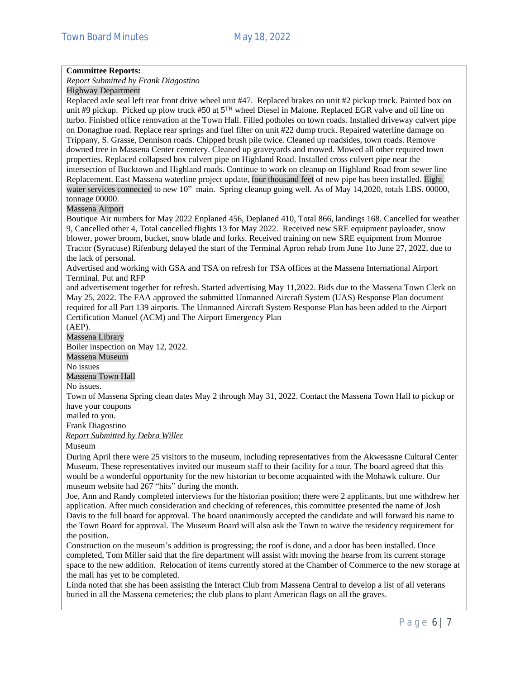## **Committee Reports:**

*Report Submitted by Frank Diagostino*

Highway Department

Replaced axle seal left rear front drive wheel unit #47. Replaced brakes on unit #2 pickup truck. Painted box on unit #9 pickup. Picked up plow truck #50 at  $5<sup>TH</sup>$  wheel Diesel in Malone. Replaced EGR valve and oil line on turbo. Finished office renovation at the Town Hall. Filled potholes on town roads. Installed driveway culvert pipe on Donaghue road. Replace rear springs and fuel filter on unit #22 dump truck. Repaired waterline damage on Trippany, S. Grasse, Dennison roads. Chipped brush pile twice. Cleaned up roadsides, town roads. Remove downed tree in Massena Center cemetery. Cleaned up graveyards and mowed. Mowed all other required town properties. Replaced collapsed box culvert pipe on Highland Road. Installed cross culvert pipe near the intersection of Bucktown and Highland roads. Continue to work on cleanup on Highland Road from sewer line Replacement. East Massena waterline project update, four thousand feet of new pipe has been installed. Eight water services connected to new 10" main. Spring cleanup going well. As of May 14,2020, totals LBS. 00000, tonnage 00000.

#### Massena Airport

Boutique Air numbers for May 2022 Enplaned 456, Deplaned 410, Total 866, landings 168. Cancelled for weather 9, Cancelled other 4, Total cancelled flights 13 for May 2022. Received new SRE equipment payloader, snow blower, power broom, bucket, snow blade and forks. Received training on new SRE equipment from Monroe Tractor (Syracuse) Rifenburg delayed the start of the Terminal Apron rehab from June 1to June 27, 2022, due to the lack of personal.

Advertised and working with GSA and TSA on refresh for TSA offices at the Massena International Airport Terminal. Put and RFP

and advertisement together for refresh. Started advertising May 11,2022. Bids due to the Massena Town Clerk on May 25, 2022. The FAA approved the submitted Unmanned Aircraft System (UAS) Response Plan document required for all Part 139 airports. The Unmanned Aircraft System Response Plan has been added to the Airport Certification Manuel (ACM) and The Airport Emergency Plan

(AEP).

Massena Library

Boiler inspection on May 12, 2022.

Massena Museum

No issues

Massena Town Hall

No issues.

Town of Massena Spring clean dates May 2 through May 31, 2022. Contact the Massena Town Hall to pickup or have your coupons

mailed to you.

Frank Diagostino

*Report Submitted by Debra Willer*

Museum

During April there were 25 visitors to the museum, including representatives from the Akwesasne Cultural Center Museum. These representatives invited our museum staff to their facility for a tour. The board agreed that this would be a wonderful opportunity for the new historian to become acquainted with the Mohawk culture. Our museum website had 267 "hits" during the month.

Joe, Ann and Randy completed interviews for the historian position; there were 2 applicants, but one withdrew her application. After much consideration and checking of references, this committee presented the name of Josh Davis to the full board for approval. The board unanimously accepted the candidate and will forward his name to the Town Board for approval. The Museum Board will also ask the Town to waive the residency requirement for the position.

Construction on the museum's addition is progressing; the roof is done, and a door has been installed. Once completed, Tom Miller said that the fire department will assist with moving the hearse from its current storage space to the new addition. Relocation of items currently stored at the Chamber of Commerce to the new storage at the mall has yet to be completed.

Linda noted that she has been assisting the Interact Club from Massena Central to develop a list of all veterans buried in all the Massena cemeteries; the club plans to plant American flags on all the graves.